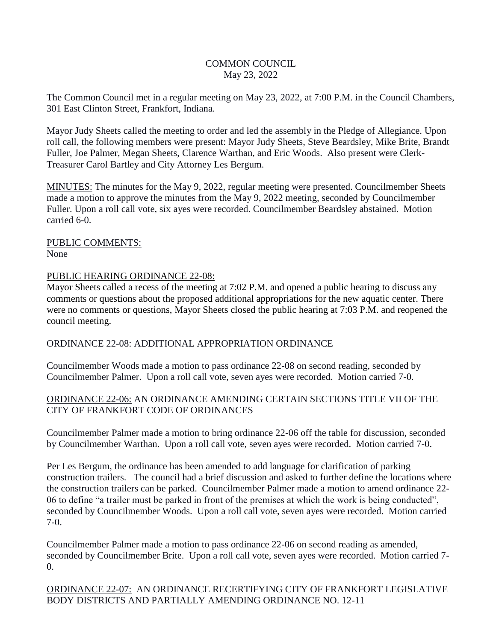# COMMON COUNCIL May 23, 2022

The Common Council met in a regular meeting on May 23, 2022, at 7:00 P.M. in the Council Chambers, 301 East Clinton Street, Frankfort, Indiana.

Mayor Judy Sheets called the meeting to order and led the assembly in the Pledge of Allegiance. Upon roll call, the following members were present: Mayor Judy Sheets, Steve Beardsley, Mike Brite, Brandt Fuller, Joe Palmer, Megan Sheets, Clarence Warthan, and Eric Woods. Also present were Clerk-Treasurer Carol Bartley and City Attorney Les Bergum.

MINUTES: The minutes for the May 9, 2022, regular meeting were presented. Councilmember Sheets made a motion to approve the minutes from the May 9, 2022 meeting, seconded by Councilmember Fuller. Upon a roll call vote, six ayes were recorded. Councilmember Beardsley abstained. Motion carried 6-0.

PUBLIC COMMENTS: None

### PUBLIC HEARING ORDINANCE 22-08:

Mayor Sheets called a recess of the meeting at 7:02 P.M. and opened a public hearing to discuss any comments or questions about the proposed additional appropriations for the new aquatic center. There were no comments or questions, Mayor Sheets closed the public hearing at 7:03 P.M. and reopened the council meeting.

#### ORDINANCE 22-08: ADDITIONAL APPROPRIATION ORDINANCE

Councilmember Woods made a motion to pass ordinance 22-08 on second reading, seconded by Councilmember Palmer. Upon a roll call vote, seven ayes were recorded. Motion carried 7-0.

### ORDINANCE 22-06: AN ORDINANCE AMENDING CERTAIN SECTIONS TITLE VII OF THE CITY OF FRANKFORT CODE OF ORDINANCES

Councilmember Palmer made a motion to bring ordinance 22-06 off the table for discussion, seconded by Councilmember Warthan. Upon a roll call vote, seven ayes were recorded. Motion carried 7-0.

Per Les Bergum, the ordinance has been amended to add language for clarification of parking construction trailers. The council had a brief discussion and asked to further define the locations where the construction trailers can be parked. Councilmember Palmer made a motion to amend ordinance 22- 06 to define "a trailer must be parked in front of the premises at which the work is being conducted", seconded by Councilmember Woods. Upon a roll call vote, seven ayes were recorded. Motion carried 7-0.

Councilmember Palmer made a motion to pass ordinance 22-06 on second reading as amended, seconded by Councilmember Brite. Upon a roll call vote, seven ayes were recorded. Motion carried 7-  $\overline{0}$ .

ORDINANCE 22-07: AN ORDINANCE RECERTIFYING CITY OF FRANKFORT LEGISLATIVE BODY DISTRICTS AND PARTIALLY AMENDING ORDINANCE NO. 12-11